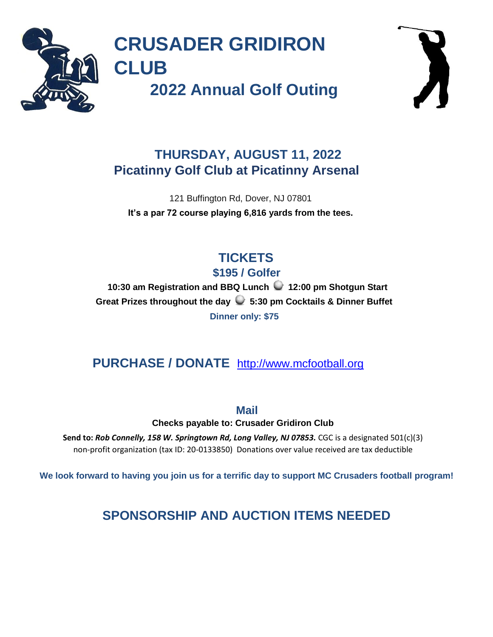

**CRUSADER GRIDIRON CLUB** 

**2022 Annual Golf Outing** 



#### **THURSDAY, AUGUST 11, 2022 Picatinny Golf Club at Picatinny Arsenal**

121 Buffington Rd, Dover, NJ 07801 **It's a par 72 course playing 6,816 yards from the tees.** 

# **TICKETS**

**\$195 / Golfer** 

**10:30 am Registration and BBQ Lunch 12:00 pm Shotgun Start Great Prizes throughout the day 5:30 pm Cocktails & Dinner Buffet Dinner only: \$75**

#### **PURCHASE / DONATE** [http://www.mcfootball.org](http://www.mcfootball.org/)

**Mail** 

**Checks payable to: Crusader Gridiron Club** 

**Send to:** *Rob Connelly, 158 W. Springtown Rd, Long Valley, NJ 07853.* CGC is a designated 501(c)(3) non-profit organization (tax ID: 20-0133850) Donations over value received are tax deductible

**We look forward to having you join us for a terrific day to support MC Crusaders football program!** 

**SPONSORSHIP AND AUCTION ITEMS NEEDED**